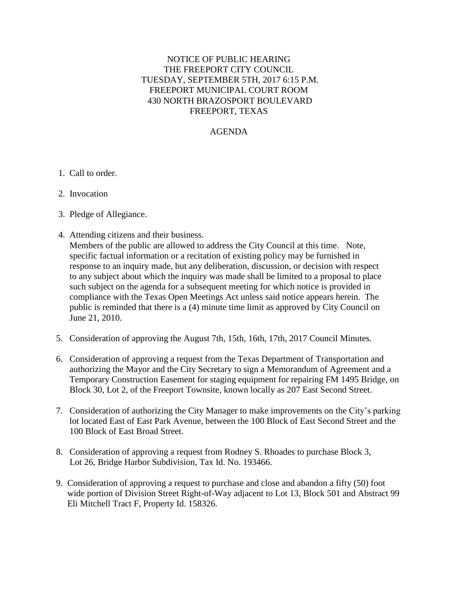## NOTICE OF PUBLIC HEARING THE FREEPORT CITY COUNCIL TUESDAY, SEPTEMBER 5TH, 2017 6:15 P.M. FREEPORT MUNICIPAL COURT ROOM 430 NORTH BRAZOSPORT BOULEVARD FREEPORT, TEXAS

## AGENDA

- 1. Call to order.
- 2. Invocation
- 3. Pledge of Allegiance.
- 4. Attending citizens and their business. Members of the public are allowed to address the City Council at this time. Note, specific factual information or a recitation of existing policy may be furnished in response to an inquiry made, but any deliberation, discussion, or decision with respect to any subject about which the inquiry was made shall be limited to a proposal to place such subject on the agenda for a subsequent meeting for which notice is provided in compliance with the Texas Open Meetings Act unless said notice appears herein. The public is reminded that there is a (4) minute time limit as approved by City Council on June 21, 2010.
- 5. Consideration of approving the August 7th, 15th, 16th, 17th, 2017 Council Minutes.
- 6. Consideration of approving a request from the Texas Department of Transportation and authorizing the Mayor and the City Secretary to sign a Memorandum of Agreement and a Temporary Construction Easement for staging equipment for repairing FM 1495 Bridge, on Block 30, Lot 2, of the Freeport Townsite, known locally as 207 East Second Street.
- 7. Consideration of authorizing the City Manager to make improvements on the City's parking lot located East of East Park Avenue, between the 100 Block of East Second Street and the 100 Block of East Broad Street.
- 8. Consideration of approving a request from Rodney S. Rhoades to purchase Block 3, Lot 26, Bridge Harbor Subdivision, Tax Id. No. 193466.
- 9. Consideration of approving a request to purchase and close and abandon a fifty (50) foot wide portion of Division Street Right-of-Way adjacent to Lot 13, Block 501 and Abstract 99 Eli Mitchell Tract F, Property Id. 158326.